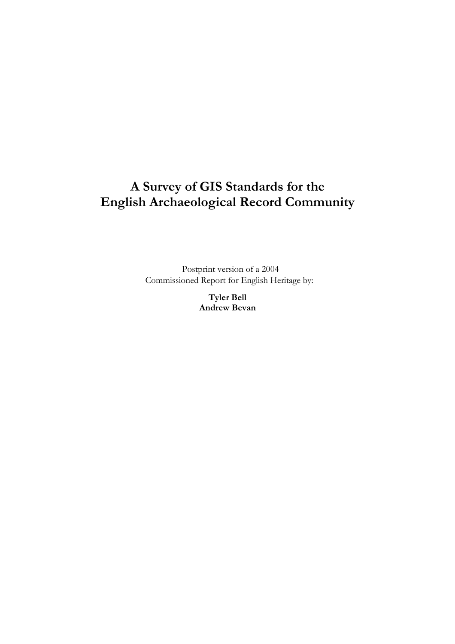# **A Survey of GIS Standards for the English Archaeological Record Community**

Postprint version of a 2004 Commissioned Report for English Heritage by:

> **Tyler Bell Andrew Bevan**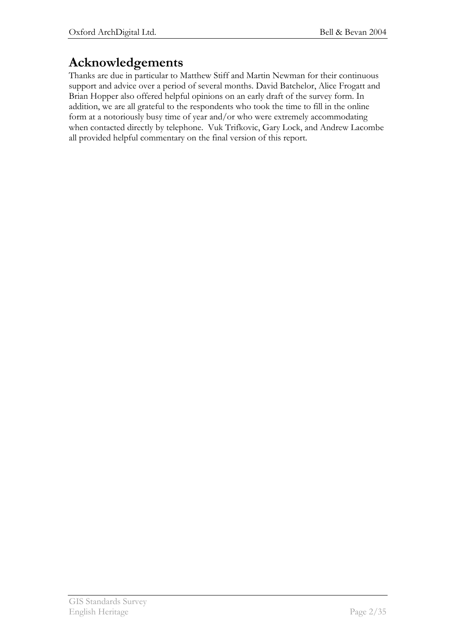# **Acknowledgements**

Thanks are due in particular to Matthew Stiff and Martin Newman for their continuous support and advice over a period of several months. David Batchelor, Alice Frogatt and Brian Hopper also offered helpful opinions on an early draft of the survey form. In addition, we are all grateful to the respondents who took the time to fill in the online form at a notoriously busy time of year and/or who were extremely accommodating when contacted directly by telephone. Vuk Trifkovic, Gary Lock, and Andrew Lacombe all provided helpful commentary on the final version of this report.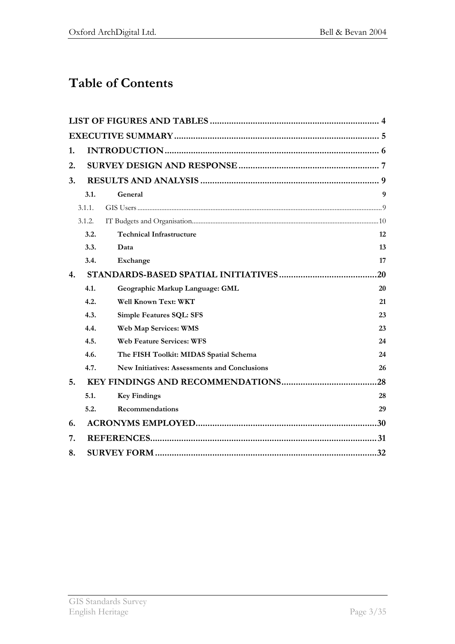# **Table of Contents**

| 1. |        |                                                     |     |
|----|--------|-----------------------------------------------------|-----|
| 2. |        |                                                     |     |
| 3. |        |                                                     |     |
|    | 3.1.   | General                                             | 9   |
|    | 3.1.1. |                                                     |     |
|    | 3.1.2. |                                                     |     |
|    | 3.2.   | <b>Technical Infrastructure</b>                     | 12  |
|    | 3.3.   | Data                                                | 13  |
|    | 3.4.   | Exchange                                            | 17  |
| 4. |        |                                                     | 20  |
|    | 4.1.   | Geographic Markup Language: GML                     | 20  |
|    | 4.2.   | Well Known Text: WKT                                | 21  |
|    | 4.3.   | <b>Simple Features SQL: SFS</b>                     | 23  |
|    | 4.4.   | Web Map Services: WMS                               | 23  |
|    | 4.5.   | <b>Web Feature Services: WFS</b>                    | 24  |
|    | 4.6.   | The FISH Toolkit: MIDAS Spatial Schema              | 24  |
|    | 4.7.   | <b>New Initiatives: Assessments and Conclusions</b> | 26  |
| 5. |        |                                                     | 28  |
|    | 5.1.   | <b>Key Findings</b>                                 | 28  |
|    | 5.2.   | <b>Recommendations</b>                              | 29  |
| 6. |        |                                                     | .30 |
| 7. |        |                                                     |     |
| 8. |        |                                                     | .32 |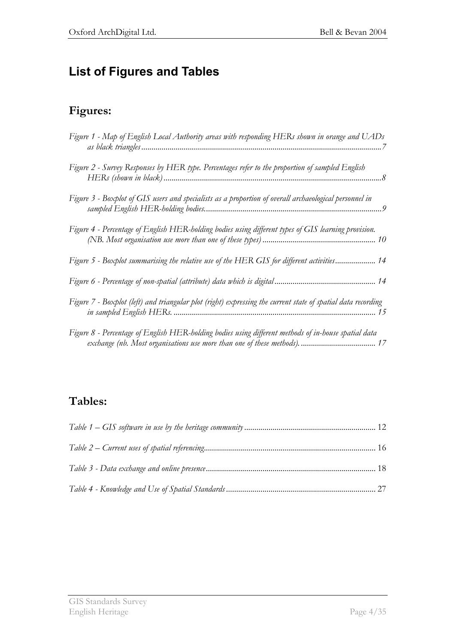# **List of Figures and Tables**

## **Figures:**

| Figure 1 - Map of English Local Authority areas with responding HERs shown in orange and UADs                |
|--------------------------------------------------------------------------------------------------------------|
| Figure 2 - Survey Responses by HER type. Percentages refer to the proportion of sampled English              |
| Figure 3 - Boxplot of GIS users and specialists as a proportion of overall archaeological personnel in       |
| Figure 4 - Percentage of English HER-holding bodies using different types of GIS learning provision.         |
| Figure 5 - Boxplot summarising the relative use of the HER GIS for different activities 14                   |
|                                                                                                              |
| Figure 7 - Boxplot (left) and triangular plot (right) expressing the current state of spatial data recording |
| Figure 8 - Percentage of English HER-holding bodies using different methods of in-house spatial data         |

## **Tables:**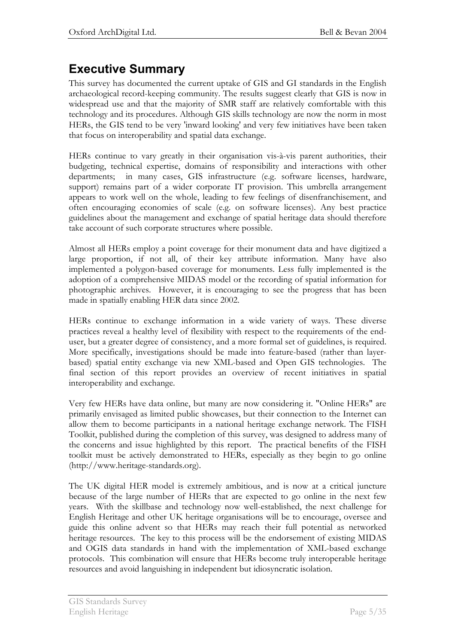# **Executive Summary**

This survey has documented the current uptake of GIS and GI standards in the English archaeological record-keeping community. The results suggest clearly that GIS is now in widespread use and that the majority of SMR staff are relatively comfortable with this technology and its procedures. Although GIS skills technology are now the norm in most HERs, the GIS tend to be very 'inward looking' and very few initiatives have been taken that focus on interoperability and spatial data exchange.

HERs continue to vary greatly in their organisation vis-à-vis parent authorities, their budgeting, technical expertise, domains of responsibility and interactions with other departments; in many cases, GIS infrastructure (e.g. software licenses, hardware, support) remains part of a wider corporate IT provision. This umbrella arrangement appears to work well on the whole, leading to few feelings of disenfranchisement, and often encouraging economies of scale (e.g. on software licenses). Any best practice guidelines about the management and exchange of spatial heritage data should therefore take account of such corporate structures where possible.

Almost all HERs employ a point coverage for their monument data and have digitized a large proportion, if not all, of their key attribute information. Many have also implemented a polygon-based coverage for monuments. Less fully implemented is the adoption of a comprehensive MIDAS model or the recording of spatial information for photographic archives. However, it is encouraging to see the progress that has been made in spatially enabling HER data since 2002.

HERs continue to exchange information in a wide variety of ways. These diverse practices reveal a healthy level of flexibility with respect to the requirements of the enduser, but a greater degree of consistency, and a more formal set of guidelines, is required. More specifically, investigations should be made into feature-based (rather than layerbased) spatial entity exchange via new XML-based and Open GIS technologies. The final section of this report provides an overview of recent initiatives in spatial interoperability and exchange.

Very few HERs have data online, but many are now considering it. "Online HERs" are primarily envisaged as limited public showcases, but their connection to the Internet can allow them to become participants in a national heritage exchange network. The FISH Toolkit, published during the completion of this survey, was designed to address many of the concerns and issue highlighted by this report. The practical benefits of the FISH toolkit must be actively demonstrated to HERs, especially as they begin to go online (http://www.heritage-standards.org).

The UK digital HER model is extremely ambitious, and is now at a critical juncture because of the large number of HERs that are expected to go online in the next few years. With the skillbase and technology now well-established, the next challenge for English Heritage and other UK heritage organisations will be to encourage, oversee and guide this online advent so that HERs may reach their full potential as networked heritage resources. The key to this process will be the endorsement of existing MIDAS and OGIS data standards in hand with the implementation of XML-based exchange protocols. This combination will ensure that HERs become truly interoperable heritage resources and avoid languishing in independent but idiosyncratic isolation.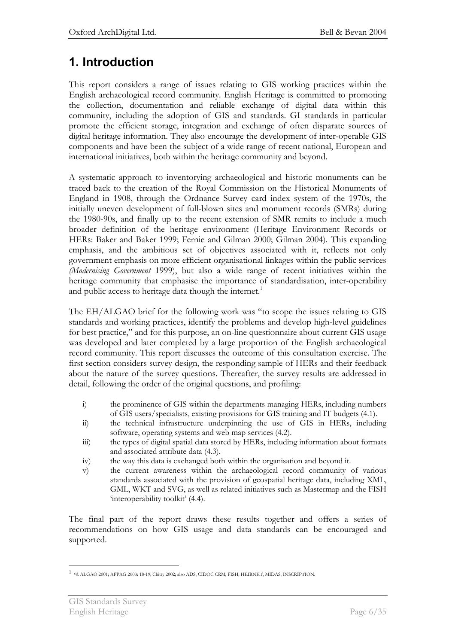## **1. Introduction**

This report considers a range of issues relating to GIS working practices within the English archaeological record community. English Heritage is committed to promoting the collection, documentation and reliable exchange of digital data within this community, including the adoption of GIS and standards. GI standards in particular promote the efficient storage, integration and exchange of often disparate sources of digital heritage information. They also encourage the development of inter-operable GIS components and have been the subject of a wide range of recent national, European and international initiatives, both within the heritage community and beyond.

A systematic approach to inventorying archaeological and historic monuments can be traced back to the creation of the Royal Commission on the Historical Monuments of England in 1908, through the Ordnance Survey card index system of the 1970s, the initially uneven development of full-blown sites and monument records (SMRs) during the 1980-90s, and finally up to the recent extension of SMR remits to include a much broader definition of the heritage environment (Heritage Environment Records or HERs: Baker and Baker 1999; Fernie and Gilman 2000; Gilman 2004). This expanding emphasis, and the ambitious set of objectives associated with it, reflects not only government emphasis on more efficient organisational linkages within the public services *(Modernising Government* 1999), but also a wide range of recent initiatives within the heritage community that emphasise the importance of standardisation, inter-operability and public access to heritage data though the internet.<sup>1</sup>

The EH/ALGAO brief for the following work was "to scope the issues relating to GIS standards and working practices, identify the problems and develop high-level guidelines for best practice," and for this purpose, an on-line questionnaire about current GIS usage was developed and later completed by a large proportion of the English archaeological record community. This report discusses the outcome of this consultation exercise. The first section considers survey design, the responding sample of HERs and their feedback about the nature of the survey questions. Thereafter, the survey results are addressed in detail, following the order of the original questions, and profiling:

- i) the prominence of GIS within the departments managing HERs, including numbers of GIS users/specialists, existing provisions for GIS training and IT budgets (4.1).
- ii) the technical infrastructure underpinning the use of GIS in HERs, including software, operating systems and web map services (4.2).
- iii) the types of digital spatial data stored by HERs, including information about formats and associated attribute data (4.3).
- iv) the way this data is exchanged both within the organisation and beyond it.
- v) the current awareness within the archaeological record community of various standards associated with the provision of geospatial heritage data, including XML, GML, WKT and SVG, as well as related initiatives such as Mastermap and the FISH 'interoperability toolkit' (4.4).

The final part of the report draws these results together and offers a series of recommendations on how GIS usage and data standards can be encouraged and supported.

 $\overline{a}$ 1 *e.g*. ALGAO 2001; APPAG 2003: 18-19; Chitty 2002; also ADS, CIDOC CRM, FISH, HEIRNET, MIDAS, INSCRIPTION.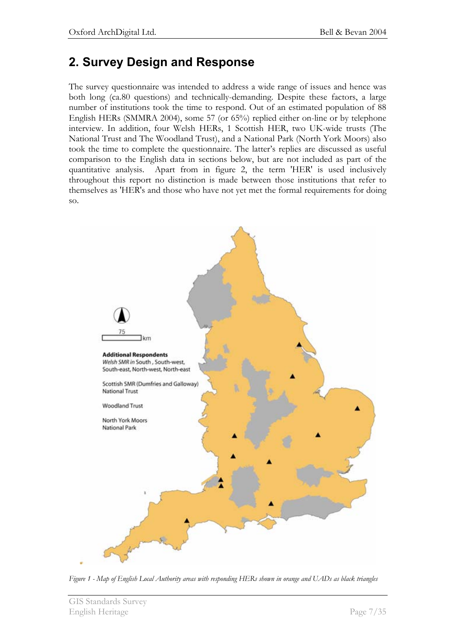## **2. Survey Design and Response**

The survey questionnaire was intended to address a wide range of issues and hence was both long (ca.80 questions) and technically-demanding. Despite these factors, a large number of institutions took the time to respond. Out of an estimated population of 88 English HERs (SMMRA 2004), some 57 (or 65%) replied either on-line or by telephone interview. In addition, four Welsh HERs, 1 Scottish HER, two UK-wide trusts (The National Trust and The Woodland Trust), and a National Park (North York Moors) also took the time to complete the questionnaire. The latter's replies are discussed as useful comparison to the English data in sections below, but are not included as part of the quantitative analysis. Apart from in figure 2, the term 'HER' is used inclusively throughout this report no distinction is made between those institutions that refer to themselves as 'HER's and those who have not yet met the formal requirements for doing so.



*Figure 1 - Map of English Local Authority areas with responding HERs shown in orange and UADs as black triangles*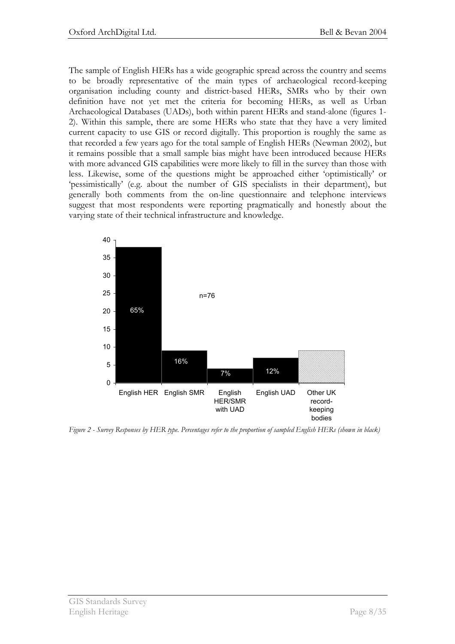The sample of English HERs has a wide geographic spread across the country and seems to be broadly representative of the main types of archaeological record-keeping organisation including county and district-based HERs, SMRs who by their own definition have not yet met the criteria for becoming HERs, as well as Urban Archaeological Databases (UADs), both within parent HERs and stand-alone (figures 1- 2). Within this sample, there are some HERs who state that they have a very limited current capacity to use GIS or record digitally. This proportion is roughly the same as that recorded a few years ago for the total sample of English HERs (Newman 2002), but it remains possible that a small sample bias might have been introduced because HERs with more advanced GIS capabilities were more likely to fill in the survey than those with less. Likewise, some of the questions might be approached either 'optimistically' or 'pessimistically' (e.g. about the number of GIS specialists in their department), but generally both comments from the on-line questionnaire and telephone interviews suggest that most respondents were reporting pragmatically and honestly about the varying state of their technical infrastructure and knowledge.



*Figure 2 - Survey Responses by HER type. Percentages refer to the proportion of sampled English HERs (shown in black)*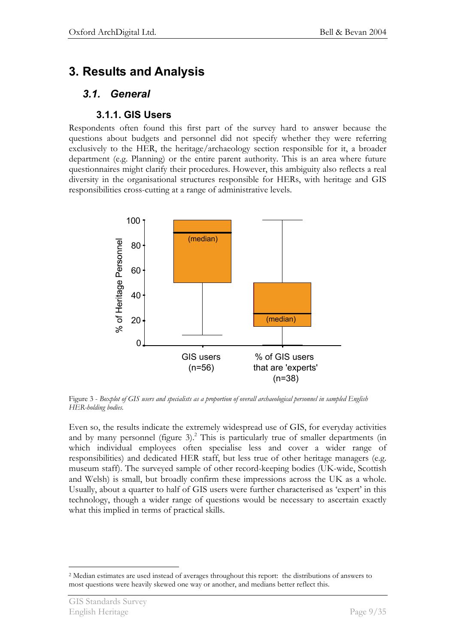# **3. Results and Analysis**

### *3.1. General*

### **3.1.1. GIS Users**

Respondents often found this first part of the survey hard to answer because the questions about budgets and personnel did not specify whether they were referring exclusively to the HER, the heritage/archaeology section responsible for it, a broader department (e.g. Planning) or the entire parent authority. This is an area where future questionnaires might clarify their procedures. However, this ambiguity also reflects a real diversity in the organisational structures responsible for HERs, with heritage and GIS responsibilities cross-cutting at a range of administrative levels.



Figure 3 - *Boxplot of GIS users and specialists as a proportion of overall archaeological personnel in sampled English HER-holding bodies.* 

Even so, the results indicate the extremely widespread use of GIS, for everyday activities and by many personnel (figure  $3$ ).<sup>2</sup> This is particularly true of smaller departments (in which individual employees often specialise less and cover a wider range of responsibilities) and dedicated HER staff, but less true of other heritage managers (e.g. museum staff). The surveyed sample of other record-keeping bodies (UK-wide, Scottish and Welsh) is small, but broadly confirm these impressions across the UK as a whole. Usually, about a quarter to half of GIS users were further characterised as 'expert' in this technology, though a wider range of questions would be necessary to ascertain exactly what this implied in terms of practical skills.

 $\overline{a}$ 2 Median estimates are used instead of averages throughout this report: the distributions of answers to most questions were heavily skewed one way or another, and medians better reflect this.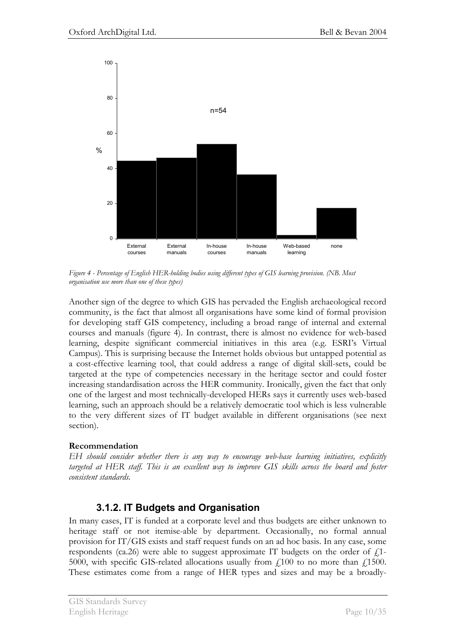

*Figure 4 - Percentage of English HER-holding bodies using different types of GIS learning provision. (NB. Most organisation use more than one of these types)* 

Another sign of the degree to which GIS has pervaded the English archaeological record community, is the fact that almost all organisations have some kind of formal provision for developing staff GIS competency, including a broad range of internal and external courses and manuals (figure 4). In contrast, there is almost no evidence for web-based learning, despite significant commercial initiatives in this area (e.g. ESRI's Virtual Campus). This is surprising because the Internet holds obvious but untapped potential as a cost-effective learning tool, that could address a range of digital skill-sets, could be targeted at the type of competencies necessary in the heritage sector and could foster increasing standardisation across the HER community. Ironically, given the fact that only one of the largest and most technically-developed HERs says it currently uses web-based learning, such an approach should be a relatively democratic tool which is less vulnerable to the very different sizes of IT budget available in different organisations (see next section).

### **Recommendation**

*EH should consider whether there is any way to encourage web-base learning initiatives, explicitly targeted at HER staff. This is an excellent way to improve GIS skills across the board and foster consistent standards.* 

### **3.1.2. IT Budgets and Organisation**

In many cases, IT is funded at a corporate level and thus budgets are either unknown to heritage staff or not itemise-able by department. Occasionally, no formal annual provision for IT/GIS exists and staff request funds on an ad hoc basis. In any case, some respondents (ca.26) were able to suggest approximate IT budgets on the order of  $f$ . 5000, with specific GIS-related allocations usually from  $\dot{E}_{\perp}$  100 to no more than  $\dot{E}_{\perp}$  1500. These estimates come from a range of HER types and sizes and may be a broadly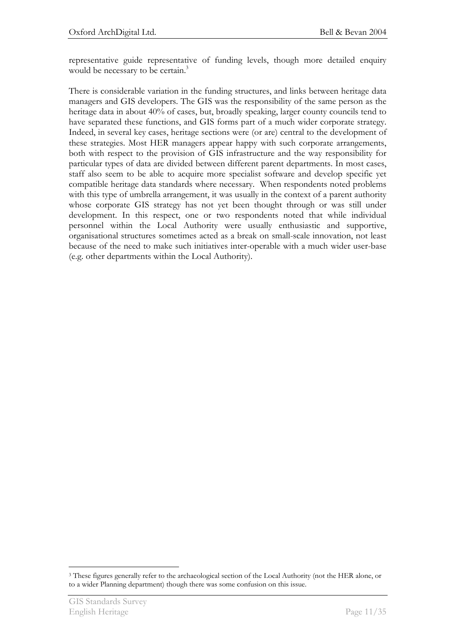representative guide representative of funding levels, though more detailed enquiry would be necessary to be certain.<sup>3</sup>

There is considerable variation in the funding structures, and links between heritage data managers and GIS developers. The GIS was the responsibility of the same person as the heritage data in about 40% of cases, but, broadly speaking, larger county councils tend to have separated these functions, and GIS forms part of a much wider corporate strategy. Indeed, in several key cases, heritage sections were (or are) central to the development of these strategies. Most HER managers appear happy with such corporate arrangements, both with respect to the provision of GIS infrastructure and the way responsibility for particular types of data are divided between different parent departments. In most cases, staff also seem to be able to acquire more specialist software and develop specific yet compatible heritage data standards where necessary. When respondents noted problems with this type of umbrella arrangement, it was usually in the context of a parent authority whose corporate GIS strategy has not yet been thought through or was still under development. In this respect, one or two respondents noted that while individual personnel within the Local Authority were usually enthusiastic and supportive, organisational structures sometimes acted as a break on small-scale innovation, not least because of the need to make such initiatives inter-operable with a much wider user-base (e.g. other departments within the Local Authority).

 $\overline{a}$ 3 These figures generally refer to the archaeological section of the Local Authority (not the HER alone, or to a wider Planning department) though there was some confusion on this issue.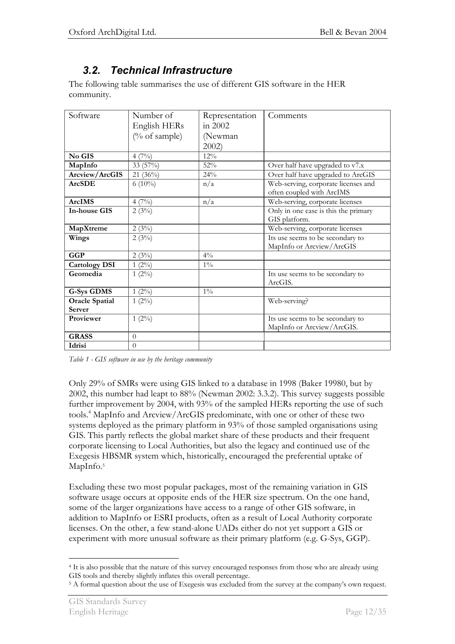## *3.2. Technical Infrastructure*

The following table summarises the use of different GIS software in the HER community.

| Software              | Number of     | Representation | Comments                                                         |
|-----------------------|---------------|----------------|------------------------------------------------------------------|
|                       | English HERs  | in 2002        |                                                                  |
|                       | (% of sample) | (Newman)       |                                                                  |
|                       |               | 2002           |                                                                  |
| No GIS                | $4(7\%)$      | 12%            |                                                                  |
| MapInfo               | 33 (57%)      | 52%            | Over half have upgraded to v7.x                                  |
| Arcview/ArcGIS        | $21(36\%)$    | 24%            | Over half have upgraded to ArcGIS                                |
| <b>ArcSDE</b>         | 6 $(10\%)$    | n/a            | Web-serving, corporate licenses and<br>often coupled with ArcIMS |
| <b>ArcIMS</b>         | $4(7\%)$      | n/a            | Web-serving, corporate licenses                                  |
| <b>In-house GIS</b>   | 2(3%)         |                | Only in one case is this the primary<br>GIS platform.            |
| MapXtreme             | 2(3%)         |                | Web-serving, corporate licenses                                  |
| Wings                 | 2(3%)         |                | Its use seems to be secondary to<br>MapInfo or Arcview/ArcGIS    |
| <b>GGP</b>            | 2(3%)         | $4\frac{0}{0}$ |                                                                  |
| <b>Cartology DSI</b>  | $1(2\%)$      | $1\%$          |                                                                  |
| Geomedia              | $1(2\%)$      |                | Its use seems to be secondary to<br>ArcGIS.                      |
| <b>G-Sys GDMS</b>     | $1(2\%)$      | $1\%$          |                                                                  |
| <b>Oracle Spatial</b> | $1(2\%)$      |                | Web-serving?                                                     |
| Server                |               |                |                                                                  |
| Proviewer             | $1(2\%)$      |                | Its use seems to be secondary to<br>MapInfo or Arcview/ArcGIS.   |
| <b>GRASS</b>          | $\theta$      |                |                                                                  |
| Idrisi                | $\Omega$      |                |                                                                  |

*Table 1 - GIS software in use by the heritage community* 

Only 29% of SMRs were using GIS linked to a database in 1998 (Baker 19980, but by 2002, this number had leapt to 88% (Newman 2002: 3.3.2). This survey suggests possible further improvement by 2004, with 93% of the sampled HERs reporting the use of such tools.4 MapInfo and Arcview/ArcGIS predominate, with one or other of these two systems deployed as the primary platform in 93% of those sampled organisations using GIS. This partly reflects the global market share of these products and their frequent corporate licensing to Local Authorities, but also the legacy and continued use of the Exegesis HBSMR system which, historically, encouraged the preferential uptake of MapInfo.<sup>5</sup>

Excluding these two most popular packages, most of the remaining variation in GIS software usage occurs at opposite ends of the HER size spectrum. On the one hand, some of the larger organizations have access to a range of other GIS software, in addition to MapInfo or ESRI products, often as a result of Local Authority corporate licenses. On the other, a few stand-alone UADs either do not yet support a GIS or experiment with more unusual software as their primary platform (e.g. G-Sys, GGP).

 $\overline{a}$ 4 It is also possible that the nature of this survey encouraged responses from those who are already using GIS tools and thereby slightly inflates this overall percentage.<br><sup>5</sup> A formal question about the use of Exegesis was excluded from the survey at the company's own request.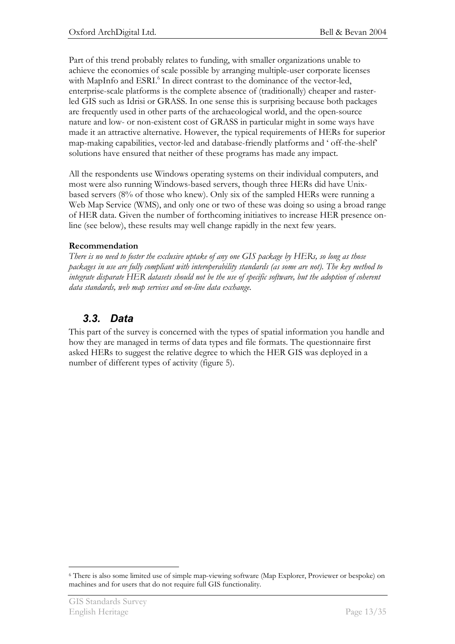Part of this trend probably relates to funding, with smaller organizations unable to achieve the economies of scale possible by arranging multiple-user corporate licenses with MapInfo and ESRI.<sup>6</sup> In direct contrast to the dominance of the vector-led, enterprise-scale platforms is the complete absence of (traditionally) cheaper and rasterled GIS such as Idrisi or GRASS. In one sense this is surprising because both packages are frequently used in other parts of the archaeological world, and the open-source nature and low- or non-existent cost of GRASS in particular might in some ways have made it an attractive alternative. However, the typical requirements of HERs for superior map-making capabilities, vector-led and database-friendly platforms and ' off-the-shelf' solutions have ensured that neither of these programs has made any impact.

All the respondents use Windows operating systems on their individual computers, and most were also running Windows-based servers, though three HERs did have Unixbased servers (8% of those who knew). Only six of the sampled HERs were running a Web Map Service (WMS), and only one or two of these was doing so using a broad range of HER data. Given the number of forthcoming initiatives to increase HER presence online (see below), these results may well change rapidly in the next few years.

### **Recommendation**

*There is no need to foster the exclusive uptake of any one GIS package by HERs, so long as those packages in use are fully compliant with interoperability standards (as some are not). The key method to integrate disparate HER datasets should not be the use of specific software, but the adoption of coherent data standards, web map services and on-line data exchange.* 

## *3.3. Data*

This part of the survey is concerned with the types of spatial information you handle and how they are managed in terms of data types and file formats. The questionnaire first asked HERs to suggest the relative degree to which the HER GIS was deployed in a number of different types of activity (figure 5).

 $\overline{a}$ 6 There is also some limited use of simple map-viewing software (Map Explorer, Proviewer or bespoke) on machines and for users that do not require full GIS functionality.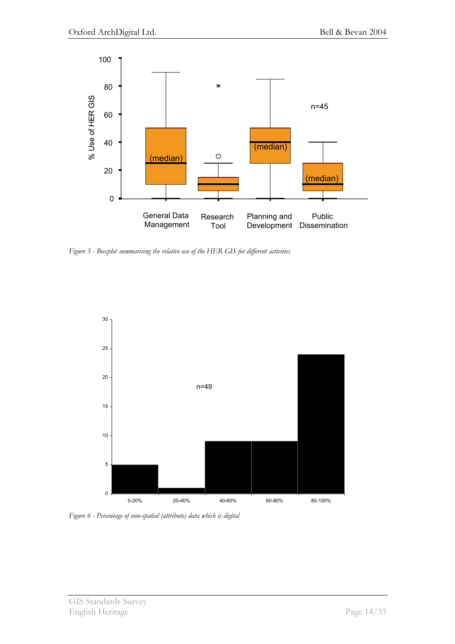

*Figure 5 - Boxplot summarising the relative use of the HER GIS for different activities* 



*Figure 6 - Percentage of non-spatial (attribute) data which is digital*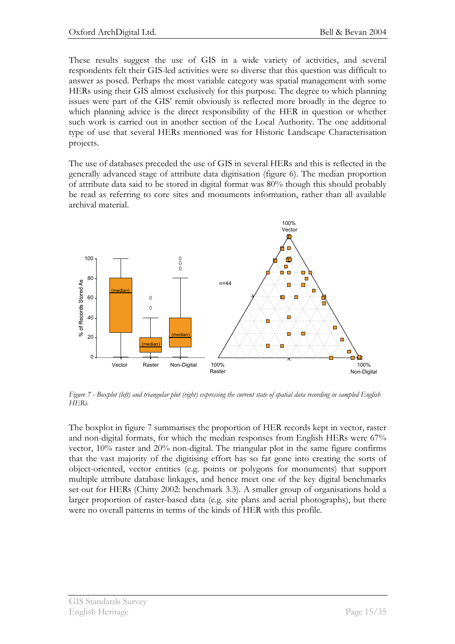These results suggest the use of GIS in a wide variety of activities, and several respondents felt their GIS-led activities were so diverse that this question was difficult to answer as posed. Perhaps the most variable category was spatial management with some HERs using their GIS almost exclusively for this purpose. The degree to which planning issues were part of the GIS' remit obviously is reflected more broadly in the degree to which planning advice is the direct responsibility of the HER in question or whether such work is carried out in another section of the Local Authority. The one additional type of use that several HERs mentioned was for Historic Landscape Characterisation projects.

The use of databases preceded the use of GIS in several HERs and this is reflected in the generally advanced stage of attribute data digitisation (figure 6). The median proportion of attribute data said to be stored in digital format was 80% though this should probably be read as referring to core sites and monuments information, rather than all available archival material.



*Figure 7 - Boxplot (left) and triangular plot (right) expressing the current state of spatial data recording in sampled English HERs.* 

The boxplot in figure 7 summarises the proportion of HER records kept in vector, raster and non-digital formats, for which the median responses from English HERs were 67% vector, 10% raster and 20% non-digital. The triangular plot in the same figure confirms that the vast majority of the digitising effort has so far gone into creating the sorts of object-oriented, vector entities (e.g. points or polygons for monuments) that support multiple attribute database linkages, and hence meet one of the key digital benchmarks set out for HERs (Chitty 2002: benchmark 3.3). A smaller group of organisations hold a larger proportion of raster-based data (e.g. site plans and aerial photographs), but there were no overall patterns in terms of the kinds of HER with this profile.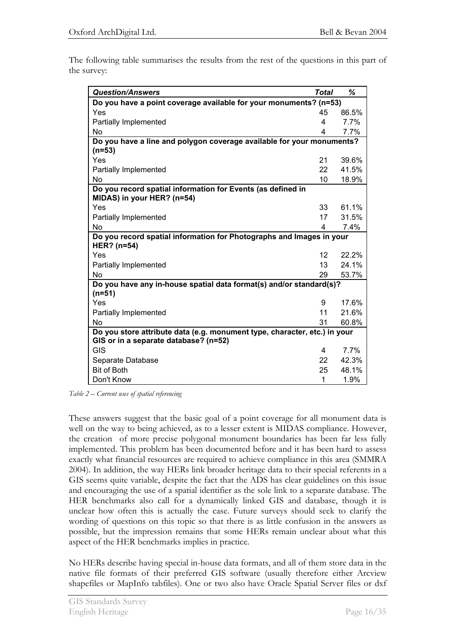The following table summarises the results from the rest of the questions in this part of the survey:

| <b>Question/Answers</b>                                                                                            | <b>Total</b>    | ℅     |  |
|--------------------------------------------------------------------------------------------------------------------|-----------------|-------|--|
| Do you have a point coverage available for your monuments? (n=53)                                                  |                 |       |  |
| Yes                                                                                                                | 45              | 86.5% |  |
| <b>Partially Implemented</b>                                                                                       | 4               | 7.7%  |  |
| No                                                                                                                 | 4               | 7.7%  |  |
| Do you have a line and polygon coverage available for your monuments?<br>$(n=53)$                                  |                 |       |  |
| Yes                                                                                                                | 21              | 39.6% |  |
| Partially Implemented                                                                                              | 22              | 41.5% |  |
| <b>No</b>                                                                                                          | 10              | 18.9% |  |
| Do you record spatial information for Events (as defined in<br>MIDAS) in your HER? (n=54)                          |                 |       |  |
| Yes                                                                                                                | 33              | 61.1% |  |
| Partially Implemented                                                                                              | 17              | 31.5% |  |
| No                                                                                                                 | 4               | 7.4%  |  |
| Do you record spatial information for Photographs and Images in your<br>HER? (n=54)                                |                 |       |  |
| Yes                                                                                                                | 12 <sup>1</sup> | 22.2% |  |
| Partially Implemented                                                                                              | 13              | 24.1% |  |
| No                                                                                                                 | 29              | 53.7% |  |
| Do you have any in-house spatial data format(s) and/or standard(s)?<br>$(n=51)$                                    |                 |       |  |
| Yes                                                                                                                | 9               | 17.6% |  |
| Partially Implemented                                                                                              | 11              | 21.6% |  |
| No                                                                                                                 | 31              | 60.8% |  |
| Do you store attribute data (e.g. monument type, character, etc.) in your<br>GIS or in a separate database? (n=52) |                 |       |  |
| <b>GIS</b>                                                                                                         | 4               | 7.7%  |  |
| Separate Database                                                                                                  | 22              | 42.3% |  |
| <b>Bit of Both</b>                                                                                                 | 25              | 48.1% |  |
| Don't Know                                                                                                         | 1               | 1.9%  |  |

*Table 2 – Current uses of spatial referencing* 

These answers suggest that the basic goal of a point coverage for all monument data is well on the way to being achieved, as to a lesser extent is MIDAS compliance. However, the creation of more precise polygonal monument boundaries has been far less fully implemented. This problem has been documented before and it has been hard to assess exactly what financial resources are required to achieve compliance in this area (SMMRA 2004). In addition, the way HERs link broader heritage data to their special referents in a GIS seems quite variable, despite the fact that the ADS has clear guidelines on this issue and encouraging the use of a spatial identifier as the sole link to a separate database. The HER benchmarks also call for a dynamically linked GIS and database, though it is unclear how often this is actually the case. Future surveys should seek to clarify the wording of questions on this topic so that there is as little confusion in the answers as possible, but the impression remains that some HERs remain unclear about what this aspect of the HER benchmarks implies in practice.

No HERs describe having special in-house data formats, and all of them store data in the native file formats of their preferred GIS software (usually therefore either Arcview shapefiles or MapInfo tabfiles). One or two also have Oracle Spatial Server files or dxf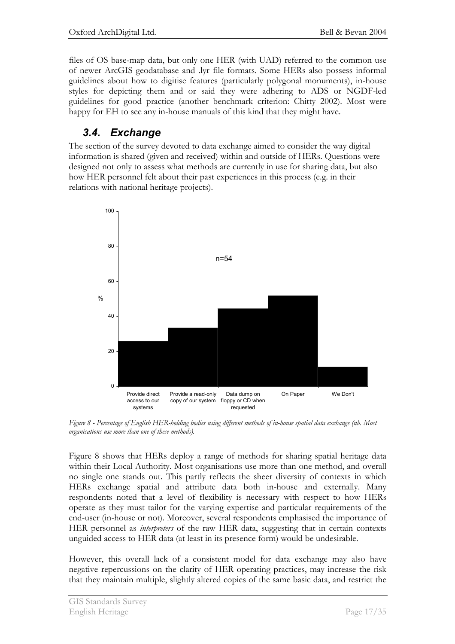files of OS base-map data, but only one HER (with UAD) referred to the common use of newer ArcGIS geodatabase and .lyr file formats. Some HERs also possess informal guidelines about how to digitise features (particularly polygonal monuments), in-house styles for depicting them and or said they were adhering to ADS or NGDF-led guidelines for good practice (another benchmark criterion: Chitty 2002). Most were happy for EH to see any in-house manuals of this kind that they might have.

## *3.4. Exchange*

The section of the survey devoted to data exchange aimed to consider the way digital information is shared (given and received) within and outside of HERs. Questions were designed not only to assess what methods are currently in use for sharing data, but also how HER personnel felt about their past experiences in this process (e.g. in their relations with national heritage projects).



*Figure 8 - Percentage of English HER-holding bodies using different methods of in-house spatial data exchange (nb. Most organisations use more than one of these methods).* 

Figure 8 shows that HERs deploy a range of methods for sharing spatial heritage data within their Local Authority. Most organisations use more than one method, and overall no single one stands out. This partly reflects the sheer diversity of contexts in which HERs exchange spatial and attribute data both in-house and externally. Many respondents noted that a level of flexibility is necessary with respect to how HERs operate as they must tailor for the varying expertise and particular requirements of the end-user (in-house or not). Moreover, several respondents emphasised the importance of HER personnel as *interpreters* of the raw HER data, suggesting that in certain contexts unguided access to HER data (at least in its presence form) would be undesirable.

However, this overall lack of a consistent model for data exchange may also have negative repercussions on the clarity of HER operating practices, may increase the risk that they maintain multiple, slightly altered copies of the same basic data, and restrict the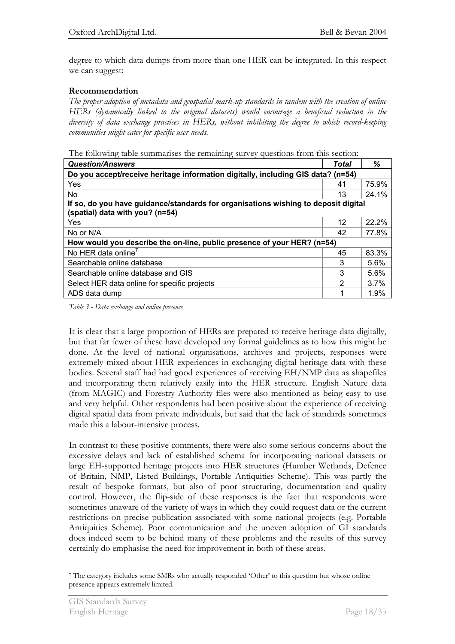degree to which data dumps from more than one HER can be integrated. In this respect we can suggest:

### **Recommendation**

*The proper adoption of metadata and geospatial mark-up standards in tandem with the creation of online HERs (dynamically linked to the original datasets) would encourage a beneficial reduction in the diversity of data exchange practices in HERs, without inhibiting the degree to which record-keeping communities might cater for specific user needs.* 

The following table summarises the remaining survey questions from this section:

| <b>Question/Answers</b>                                                                                               |    | ℅     |  |
|-----------------------------------------------------------------------------------------------------------------------|----|-------|--|
| Do you accept/receive heritage information digitally, including GIS data? (n=54)                                      |    |       |  |
| Yes                                                                                                                   | 41 | 75.9% |  |
| N <sub>o</sub>                                                                                                        | 13 | 24.1% |  |
| If so, do you have guidance/standards for organisations wishing to deposit digital<br>(spatial) data with you? (n=54) |    |       |  |
| Yes                                                                                                                   | 12 | 22.2% |  |
| No or N/A                                                                                                             | 42 | 77.8% |  |
| How would you describe the on-line, public presence of your HER? (n=54)                                               |    |       |  |
| No HER data online <sup>7</sup>                                                                                       | 45 | 83.3% |  |
| Searchable online database                                                                                            | 3  | 5.6%  |  |
| Searchable online database and GIS                                                                                    | 3  | 5.6%  |  |
| Select HER data online for specific projects                                                                          |    | 3.7%  |  |
| ADS data dump                                                                                                         |    | 1.9%  |  |

*Table 3 - Data exchange and online presence* 

It is clear that a large proportion of HERs are prepared to receive heritage data digitally, but that far fewer of these have developed any formal guidelines as to how this might be done. At the level of national organisations, archives and projects, responses were extremely mixed about HER experiences in exchanging digital heritage data with these bodies. Several staff had had good experiences of receiving EH/NMP data as shapefiles and incorporating them relatively easily into the HER structure. English Nature data (from MAGIC) and Forestry Authority files were also mentioned as being easy to use and very helpful. Other respondents had been positive about the experience of receiving digital spatial data from private individuals, but said that the lack of standards sometimes made this a labour-intensive process.

In contrast to these positive comments, there were also some serious concerns about the excessive delays and lack of established schema for incorporating national datasets or large EH-supported heritage projects into HER structures (Humber Wetlands, Defence of Britain, NMP, Listed Buildings, Portable Antiquities Scheme). This was partly the result of bespoke formats, but also of poor structuring, documentation and quality control. However, the flip-side of these responses is the fact that respondents were sometimes unaware of the variety of ways in which they could request data or the current restrictions on precise publication associated with some national projects (e.g. Portable Antiquities Scheme). Poor communication and the uneven adoption of GI standards does indeed seem to be behind many of these problems and the results of this survey certainly do emphasise the need for improvement in both of these areas.

 $\overline{a}$ <sup>7</sup> The category includes some SMRs who actually responded 'Other' to this question but whose online presence appears extremely limited.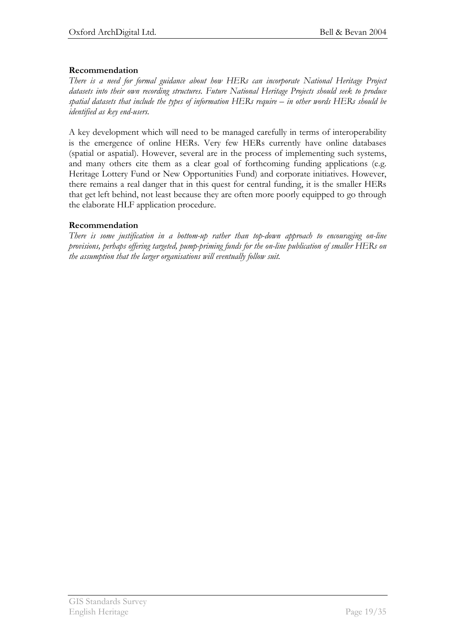### **Recommendation**

*There is a need for formal guidance about how HERs can incorporate National Heritage Project datasets into their own recording structures. Future National Heritage Projects should seek to produce spatial datasets that include the types of information HERs require – in other words HERs should be identified as key end-users.* 

A key development which will need to be managed carefully in terms of interoperability is the emergence of online HERs. Very few HERs currently have online databases (spatial or aspatial). However, several are in the process of implementing such systems, and many others cite them as a clear goal of forthcoming funding applications (e.g. Heritage Lottery Fund or New Opportunities Fund) and corporate initiatives. However, there remains a real danger that in this quest for central funding, it is the smaller HERs that get left behind, not least because they are often more poorly equipped to go through the elaborate HLF application procedure.

#### **Recommendation**

*There is some justification in a bottom-up rather than top-down approach to encouraging on-line provisions, perhaps offering targeted, pump-priming funds for the on-line publication of smaller HERs on the assumption that the larger organisations will eventually follow suit.*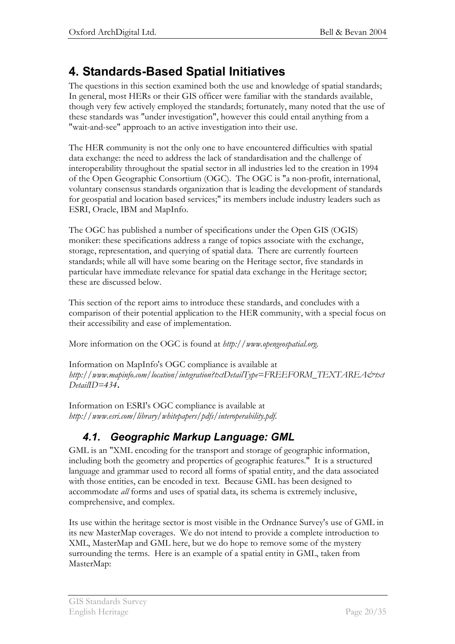# **4. Standards-Based Spatial Initiatives**

The questions in this section examined both the use and knowledge of spatial standards; In general, most HERs or their GIS officer were familiar with the standards available, though very few actively employed the standards; fortunately, many noted that the use of these standards was "under investigation", however this could entail anything from a "wait-and-see" approach to an active investigation into their use.

The HER community is not the only one to have encountered difficulties with spatial data exchange: the need to address the lack of standardisation and the challenge of interoperability throughout the spatial sector in all industries led to the creation in 1994 of the Open Geographic Consortium (OGC). The OGC is "a non-profit, international, voluntary consensus standards organization that is leading the development of standards for geospatial and location based services;" its members include industry leaders such as ESRI, Oracle, IBM and MapInfo.

The OGC has published a number of specifications under the Open GIS (OGIS) moniker: these specifications address a range of topics associate with the exchange, storage, representation, and querying of spatial data. There are currently fourteen standards; while all will have some bearing on the Heritage sector, five standards in particular have immediate relevance for spatial data exchange in the Heritage sector; these are discussed below.

This section of the report aims to introduce these standards, and concludes with a comparison of their potential application to the HER community, with a special focus on their accessibility and ease of implementation.

More information on the OGC is found at *http://www.opengeospatial.org*.

Information on MapInfo's OGC compliance is available at *http://www.mapinfo.com/location/integration?txtDetailType=FREEFORM\_TEXTAREA&txt DetailID=434***.** 

Information on ESRI's OGC compliance is available at *http://www.esri.com/library/whitepapers/pdfs/interoperability.pdf*.

## *4.1. Geographic Markup Language: GML*

GML is an "XML encoding for the transport and storage of geographic information, including both the geometry and properties of geographic features." It is a structured language and grammar used to record all forms of spatial entity, and the data associated with those entities, can be encoded in text. Because GML has been designed to accommodate *all* forms and uses of spatial data, its schema is extremely inclusive, comprehensive, and complex.

Its use within the heritage sector is most visible in the Ordnance Survey's use of GML in its new MasterMap coverages. We do not intend to provide a complete introduction to XML, MasterMap and GML here, but we do hope to remove some of the mystery surrounding the terms. Here is an example of a spatial entity in GML, taken from MasterMap: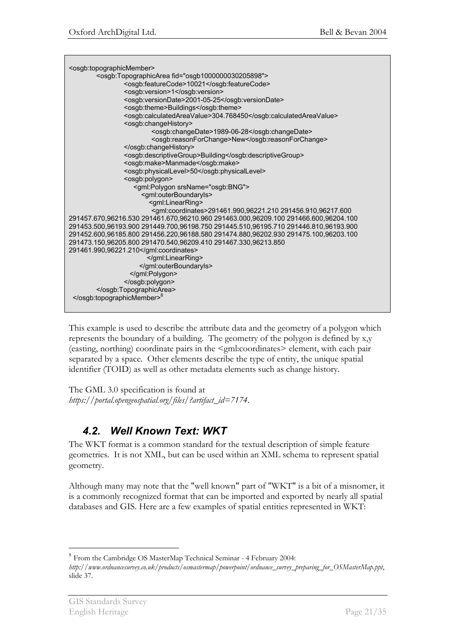<osgb:topographicMember> .<br><osgb:TopographicArea fid="osgb1000000030205898"> <osgb:featureCode>10021</osgb:featureCode> <osgb:version>1</osgb:version> <osgb:versionDate>2001-05-25</osgb:versionDate> <osgb:theme>Buildings</osgb:theme> <osgb:calculatedAreaValue>304.768450</osgb:calculatedAreaValue> <osgb:changeHistory> <osgb:changeDate>1989-06-28</osgb:changeDate> <osgb:reasonForChange>New</osgb:reasonForChange> </osgb:changeHistory> <osgb:descriptiveGroup>Building</osgb:descriptiveGroup> <osgb:make>Manmade</osgb:make> <osgb:physicalLevel>50</osgb:physicalLevel> <osgb:polygon> <gml:Polygon srsName="osgb:BNG"> <gml:outerBoundaryIs> <gml:LinearRing> <gml:coordinates>291461.990,96221.210 291456.910,96217.600 291457.670,96216.530 291461.670,96210.960 291463.000,96209.100 291466.600,96204.100 291453.500,96193.900 291449.700,96198.750 291445.510,96195.710 291446.810,96193.900 291452.600,96185.800 291456.220,96188.580 291474.880,96202.930 291475.100,96203.100 291473.150,96205.800 291470.540,96209.410 291467.330,96213.850 291461.990,96221.210</gml:coordinates> </gml:LinearRing> </gml:outerBoundaryIs> </gml:Polygon> </osgb:polygon> </osgb:TopographicArea> </osgb:topographicMember>

This example is used to describe the attribute data and the geometry of a polygon which represents the boundary of a building. The geometry of the polygon is defined by x,y (easting, northing) coordinate pairs in the <gml:coordinates> element, with each pair separated by a space. Other elements describe the type of entity, the unique spatial identifier (TOID) as well as other metadata elements such as change history.

The GML 3.0 specification is found at *https://portal.opengeospatial.org/files/?artifact\_id=7174*.

## *4.2. Well Known Text: WKT*

The WKT format is a common standard for the textual description of simple feature geometries. It is not XML, but can be used within an XML schema to represent spatial geometry.

Although many may note that the "well known" part of "WKT" is a bit of a misnomer, it is a commonly recognized format that can be imported and exported by nearly all spatial databases and GIS. Here are a few examples of spatial entities represented in WKT:

 $\overline{a}$ 

<sup>&</sup>lt;sup>8</sup> From the Cambridge OS MasterMap Technical Seminar - 4 February 2004:

*http://www.ordnancesurvey.co.uk/products/osmastermap/powerpoint/ordnance\_survey\_preparing\_for\_OSMasterMap.ppt*, slide 37.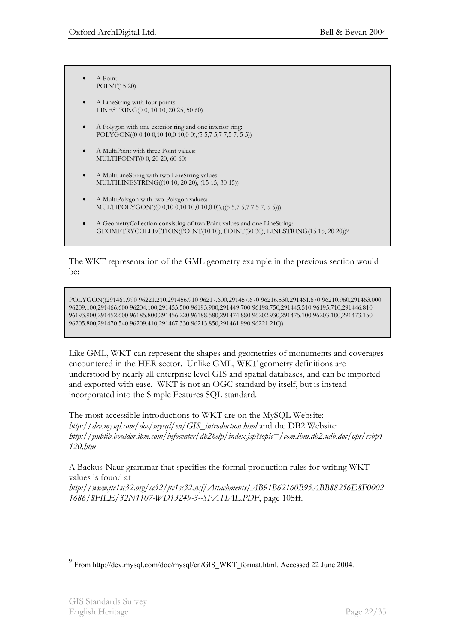- $A$  Point: POINT(15 20)
- A LineString with four points: LINESTRING(0 0, 10 10, 20 25, 50 60)
- x A Polygon with one exterior ring and one interior ring: POLYGON((0 0,10 0,10 10,0 10,0 0),(5 5,7 5,7 7,5 7, 5 5))
- A MultiPoint with three Point values: MULTIPOINT(0 0, 20 20, 60 60)
- A MultiLineString with two LineString values: MULTILINESTRING((10 10, 20 20), (15 15, 30 15))
- x A MultiPolygon with two Polygon values: MULTIPOLYGON(((0 0,10 0,10 10,0 10,0 0)),((5 5,7 5,7 7,5 7, 5 5)))
- x A GeometryCollection consisting of two Point values and one LineString: GEOMETRYCOLLECTION(POINT(10 10), POINT(30 30), LINESTRING(15 15, 20 20))9

The WKT representation of the GML geometry example in the previous section would be:

POLYGON((291461.990 96221.210,291456.910 96217.600,291457.670 96216.530,291461.670 96210.960,291463.000 96209.100,291466.600 96204.100,291453.500 96193.900,291449.700 96198.750,291445.510 96195.710,291446.810 96193.900,291452.600 96185.800,291456.220 96188.580,291474.880 96202.930,291475.100 96203.100,291473.150 96205.800,291470.540 96209.410,291467.330 96213.850,291461.990 96221.210))

Like GML, WKT can represent the shapes and geometries of monuments and coverages encountered in the HER sector. Unlike GML, WKT geometry definitions are understood by nearly all enterprise level GIS and spatial databases, and can be imported and exported with ease. WKT is not an OGC standard by itself, but is instead incorporated into the Simple Features SQL standard.

The most accessible introductions to WKT are on the MySQL Website: *http://dev.mysql.com/doc/mysql/en/GIS\_introduction.html* and the DB2 Website: *http://publib.boulder.ibm.com/infocenter/db2help/index.jsp?topic=/com.ibm.db2.udb.doc/opt/rsbp4 120.htm*

A Backus-Naur grammar that specifies the formal production rules for writing WKT values is found at

*http://www.jtc1sc32.org/sc32/jtc1sc32.nsf/Attachments/AB91B62160B95ABB88256E8F0002 1686/\$FILE/32N1107-WD13249-3--SPATIAL.PDF*, page 105ff.

 $\overline{a}$ 

<sup>9</sup> From http://dev.mysql.com/doc/mysql/en/GIS\_WKT\_format.html. Accessed 22 June 2004.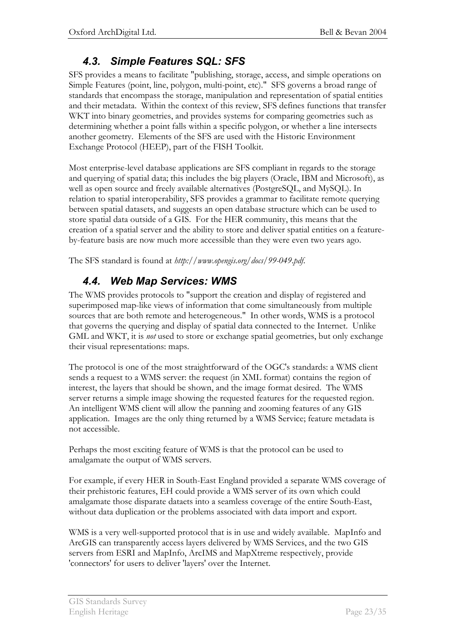## *4.3. Simple Features SQL: SFS*

SFS provides a means to facilitate "publishing, storage, access, and simple operations on Simple Features (point, line, polygon, multi-point, etc)." SFS governs a broad range of standards that encompass the storage, manipulation and representation of spatial entities and their metadata. Within the context of this review, SFS defines functions that transfer WKT into binary geometries, and provides systems for comparing geometries such as determining whether a point falls within a specific polygon, or whether a line intersects another geometry. Elements of the SFS are used with the Historic Environment Exchange Protocol (HEEP), part of the FISH Toolkit.

Most enterprise-level database applications are SFS compliant in regards to the storage and querying of spatial data; this includes the big players (Oracle, IBM and Microsoft), as well as open source and freely available alternatives (PostgreSQL, and MySQL). In relation to spatial interoperability, SFS provides a grammar to facilitate remote querying between spatial datasets, and suggests an open database structure which can be used to store spatial data outside of a GIS. For the HER community, this means that the creation of a spatial server and the ability to store and deliver spatial entities on a featureby-feature basis are now much more accessible than they were even two years ago.

The SFS standard is found at *http://www.opengis.org/docs/99-049.pdf*.

## *4.4. Web Map Services: WMS*

The WMS provides protocols to "support the creation and display of registered and superimposed map-like views of information that come simultaneously from multiple sources that are both remote and heterogeneous." In other words, WMS is a protocol that governs the querying and display of spatial data connected to the Internet. Unlike GML and WKT, it is *not* used to store or exchange spatial geometries, but only exchange their visual representations: maps.

The protocol is one of the most straightforward of the OGC's standards: a WMS client sends a request to a WMS server: the request (in XML format) contains the region of interest, the layers that should be shown, and the image format desired. The WMS server returns a simple image showing the requested features for the requested region. An intelligent WMS client will allow the panning and zooming features of any GIS application. Images are the only thing returned by a WMS Service; feature metadata is not accessible.

Perhaps the most exciting feature of WMS is that the protocol can be used to amalgamate the output of WMS servers.

For example, if every HER in South-East England provided a separate WMS coverage of their prehistoric features, EH could provide a WMS server of its own which could amalgamate those disparate dataets into a seamless coverage of the entire South-East, without data duplication or the problems associated with data import and export.

WMS is a very well-supported protocol that is in use and widely available. MapInfo and ArcGIS can transparently access layers delivered by WMS Services, and the two GIS servers from ESRI and MapInfo, ArcIMS and MapXtreme respectively, provide 'connectors' for users to deliver 'layers' over the Internet.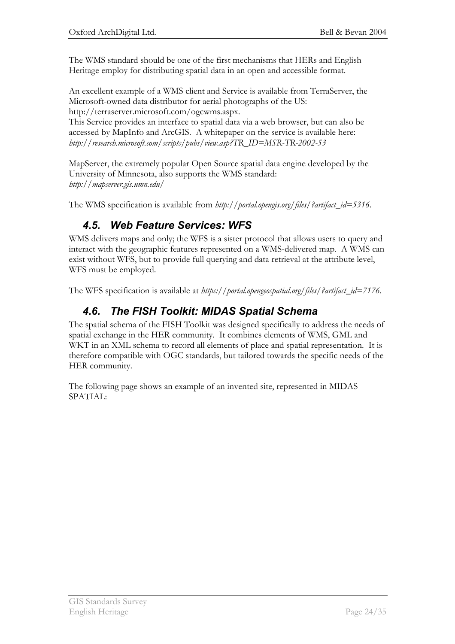The WMS standard should be one of the first mechanisms that HERs and English Heritage employ for distributing spatial data in an open and accessible format.

An excellent example of a WMS client and Service is available from TerraServer, the Microsoft-owned data distributor for aerial photographs of the US: http://terraserver.microsoft.com/ogcwms.aspx.

This Service provides an interface to spatial data via a web browser, but can also be accessed by MapInfo and ArcGIS. A whitepaper on the service is available here: *http://research.microsoft.com/scripts/pubs/view.asp?TR\_ID=MSR-TR-2002-53*

MapServer, the extremely popular Open Source spatial data engine developed by the University of Minnesota, also supports the WMS standard: *http://mapserver.gis.umn.edu/* 

The WMS specification is available from *http://portal.opengis.org/files/?artifact\_id=5316*.

## *4.5. Web Feature Services: WFS*

WMS delivers maps and only; the WFS is a sister protocol that allows users to query and interact with the geographic features represented on a WMS-delivered map. A WMS can exist without WFS, but to provide full querying and data retrieval at the attribute level, WFS must be employed.

The WFS specification is available at *https://portal.opengeospatial.org/files/?artifact\_id=7176*.

## *4.6. The FISH Toolkit: MIDAS Spatial Schema*

The spatial schema of the FISH Toolkit was designed specifically to address the needs of spatial exchange in the HER community. It combines elements of WMS, GML and WKT in an XML schema to record all elements of place and spatial representation. It is therefore compatible with OGC standards, but tailored towards the specific needs of the HER community.

The following page shows an example of an invented site, represented in MIDAS SPATIAL: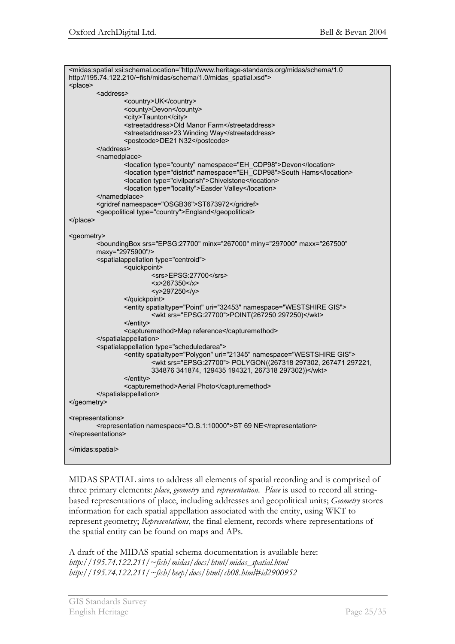| <midas:spatial xsi:schemalocation="http://www.heritage-standards.org/midas/schema/1.0&lt;br&gt;http://195.74.122.210/~fish/midas/schema/1.0/midas_spatial.xsd"></midas:spatial>                                                                    |  |  |  |
|----------------------------------------------------------------------------------------------------------------------------------------------------------------------------------------------------------------------------------------------------|--|--|--|
| <place></place>                                                                                                                                                                                                                                    |  |  |  |
| <address></address>                                                                                                                                                                                                                                |  |  |  |
| <country>UK</country><br><county>Devon</county><br><city>Taunton</city><br><streetaddress>Old Manor Farm</streetaddress><br><streetaddress>23 Winding Way</streetaddress><br><postcode>DE21 N32</postcode>                                         |  |  |  |
|                                                                                                                                                                                                                                                    |  |  |  |
| <namedplace></namedplace>                                                                                                                                                                                                                          |  |  |  |
| <location namespace="EH_CDP98" type="county">Devon</location><br><location namespace="EH_CDP98" type="district">South Hams</location><br><location type="civilparish">Chivelstone</location><br><location type="locality">Easder Valley</location> |  |  |  |
|                                                                                                                                                                                                                                                    |  |  |  |
| <gridref namespace="OSGB36">ST673972</gridref>                                                                                                                                                                                                     |  |  |  |
| <geopolitical type="country">England</geopolitical>                                                                                                                                                                                                |  |  |  |
| $<$ /place>                                                                                                                                                                                                                                        |  |  |  |
|                                                                                                                                                                                                                                                    |  |  |  |
| <geometry><br/><boundingbox <br="" maxx="267500" minx="267000" miny="297000" srs="EPSG:27700">maxy="2975900"/&gt;</boundingbox></geometry>                                                                                                         |  |  |  |
| <spatialappellation type="centroid"></spatialappellation>                                                                                                                                                                                          |  |  |  |
| <guickpoint></guickpoint>                                                                                                                                                                                                                          |  |  |  |
| <srs>EPSG:27700</srs>                                                                                                                                                                                                                              |  |  |  |
| $267350$                                                                                                                                                                                                                                           |  |  |  |
| <y>297250</y>                                                                                                                                                                                                                                      |  |  |  |
|                                                                                                                                                                                                                                                    |  |  |  |
| <entity namespace="WESTSHIRE GIS" spatialtype="Point" uri="32453"><br/><wkt srs="EPSG:27700">POINT(267250 297250)</wkt></entity>                                                                                                                   |  |  |  |
| $\le$ /entity>                                                                                                                                                                                                                                     |  |  |  |
| <capturemethod>Map reference</capturemethod>                                                                                                                                                                                                       |  |  |  |
|                                                                                                                                                                                                                                                    |  |  |  |
| <spatialappellation type="scheduledarea"><br/><entity namespace="WESTSHIRE GIS" spatialtype="Polygon" uri="21345"><br/><wkt srs="EPSG:27700"> POLYGON((267318 297302, 267471 297221,</wkt></entity></spatialappellation>                           |  |  |  |
| 334876 341874, 129435 194321, 267318 297302))                                                                                                                                                                                                      |  |  |  |
|                                                                                                                                                                                                                                                    |  |  |  |
| <capturemethod>Aerial Photo</capturemethod>                                                                                                                                                                                                        |  |  |  |
|                                                                                                                                                                                                                                                    |  |  |  |
|                                                                                                                                                                                                                                                    |  |  |  |
|                                                                                                                                                                                                                                                    |  |  |  |
| <representations></representations>                                                                                                                                                                                                                |  |  |  |
| <representation namespace="O.S.1:10000">ST 69 NE</representation><br>                                                                                                                                                                              |  |  |  |
|                                                                                                                                                                                                                                                    |  |  |  |

MIDAS SPATIAL aims to address all elements of spatial recording and is comprised of three primary elements: *place*, *geometry* and *representation*. *Place* is used to record all stringbased representations of place, including addresses and geopolitical units; *Geometry* stores information for each spatial appellation associated with the entity, using WKT to represent geometry; *Representations*, the final element, records where representations of the spatial entity can be found on maps and APs.

A draft of the MIDAS spatial schema documentation is available here: *http://195.74.122.211/~fish/midas/docs/html/midas\_spatial.html http://195.74.122.211/~fish/heep/docs/html/ch08.html#id2900952*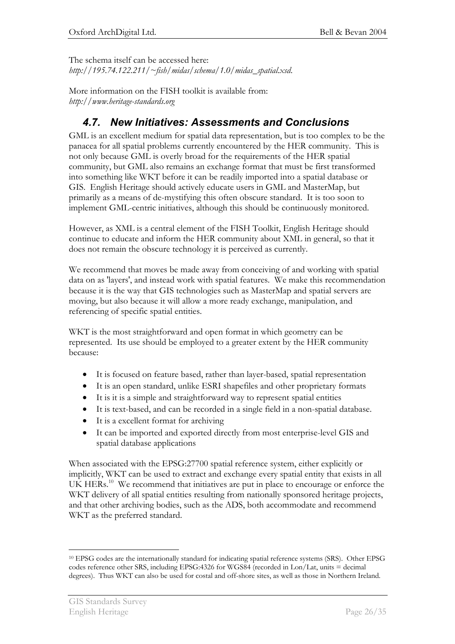The schema itself can be accessed here:

*http://195.74.122.211/~fish/midas/schema/1.0/midas\_spatial.xsd*.

More information on the FISH toolkit is available from: *http://www.heritage-standards.org* 

### *4.7. New Initiatives: Assessments and Conclusions*

GML is an excellent medium for spatial data representation, but is too complex to be the panacea for all spatial problems currently encountered by the HER community. This is not only because GML is overly broad for the requirements of the HER spatial community, but GML also remains an exchange format that must be first transformed into something like WKT before it can be readily imported into a spatial database or GIS. English Heritage should actively educate users in GML and MasterMap, but primarily as a means of de-mystifying this often obscure standard. It is too soon to implement GML-centric initiatives, although this should be continuously monitored.

However, as XML is a central element of the FISH Toolkit, English Heritage should continue to educate and inform the HER community about XML in general, so that it does not remain the obscure technology it is perceived as currently.

We recommend that moves be made away from conceiving of and working with spatial data on as 'layers', and instead work with spatial features. We make this recommendation because it is the way that GIS technologies such as MasterMap and spatial servers are moving, but also because it will allow a more ready exchange, manipulation, and referencing of specific spatial entities.

WKT is the most straightforward and open format in which geometry can be represented. Its use should be employed to a greater extent by the HER community because:

- It is focused on feature based, rather than layer-based, spatial representation
- x It is an open standard, unlike ESRI shapefiles and other proprietary formats
- $\bullet$  It is it is a simple and straightforward way to represent spatial entities
- x It is text-based, and can be recorded in a single field in a non-spatial database.
- $\bullet$  It is a excellent format for archiving
- It can be imported and exported directly from most enterprise-level GIS and spatial database applications

When associated with the EPSG:27700 spatial reference system, either explicitly or implicitly, WKT can be used to extract and exchange every spatial entity that exists in all UK HERs.<sup>10</sup> We recommend that initiatives are put in place to encourage or enforce the WKT delivery of all spatial entities resulting from nationally sponsored heritage projects, and that other archiving bodies, such as the ADS, both accommodate and recommend WKT as the preferred standard.

 $\overline{a}$ 10 EPSG codes are the internationally standard for indicating spatial reference systems (SRS). Other EPSG codes reference other SRS, including EPSG:4326 for WGS84 (recorded in Lon/Lat, units = decimal degrees). Thus WKT can also be used for costal and off-shore sites, as well as those in Northern Ireland.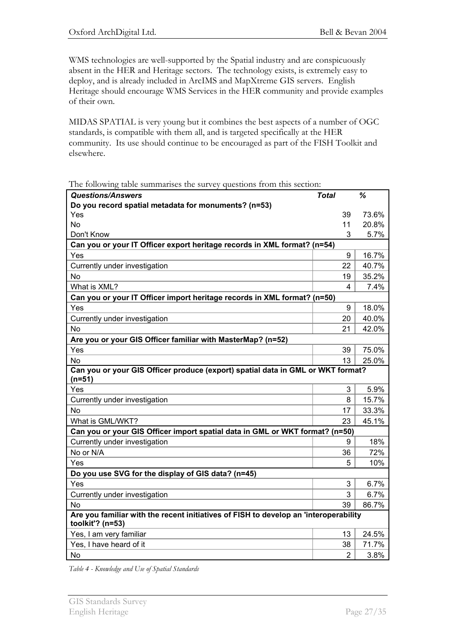WMS technologies are well-supported by the Spatial industry and are conspicuously absent in the HER and Heritage sectors. The technology exists, is extremely easy to deploy, and is already included in ArcIMS and MapXtreme GIS servers. English Heritage should encourage WMS Services in the HER community and provide examples of their own.

MIDAS SPATIAL is very young but it combines the best aspects of a number of OGC standards, is compatible with them all, and is targeted specifically at the HER community. Its use should continue to be encouraged as part of the FISH Toolkit and elsewhere.

The following table summarises the survey questions from this section:

| <b>Questions/Answers</b>                                                                                 | <b>Total</b> |                | %     |
|----------------------------------------------------------------------------------------------------------|--------------|----------------|-------|
| Do you record spatial metadata for monuments? (n=53)                                                     |              |                |       |
| Yes                                                                                                      |              | 39             | 73.6% |
| <b>No</b>                                                                                                |              | 11             | 20.8% |
| Don't Know                                                                                               |              | 3              | 5.7%  |
| Can you or your IT Officer export heritage records in XML format? (n=54)                                 |              |                |       |
| Yes                                                                                                      |              | 9              | 16.7% |
| Currently under investigation                                                                            |              | 22             | 40.7% |
| <b>No</b>                                                                                                |              | 19             | 35.2% |
| What is XML?                                                                                             |              | 4              | 7.4%  |
| Can you or your IT Officer import heritage records in XML format? (n=50)                                 |              |                |       |
| Yes                                                                                                      |              | 9              | 18.0% |
| Currently under investigation                                                                            |              | 20             | 40.0% |
| <b>No</b>                                                                                                |              | 21             | 42.0% |
| Are you or your GIS Officer familiar with MasterMap? (n=52)                                              |              |                |       |
| Yes                                                                                                      |              | 39             | 75.0% |
| No                                                                                                       |              | 13             | 25.0% |
| Can you or your GIS Officer produce (export) spatial data in GML or WKT format?<br>$(n=51)$              |              |                |       |
| Yes                                                                                                      |              | 3              | 5.9%  |
| Currently under investigation                                                                            |              | 8              | 15.7% |
| <b>No</b>                                                                                                |              | 17             | 33.3% |
| What is GML/WKT?                                                                                         |              | 23             | 45.1% |
| Can you or your GIS Officer import spatial data in GML or WKT format? (n=50)                             |              |                |       |
| Currently under investigation                                                                            |              | 9              | 18%   |
| No or N/A                                                                                                |              | 36             | 72%   |
| Yes                                                                                                      |              | 5              | 10%   |
| Do you use SVG for the display of GIS data? (n=45)                                                       |              |                |       |
| Yes                                                                                                      |              | 3              | 6.7%  |
| Currently under investigation                                                                            |              | 3              | 6.7%  |
| <b>No</b>                                                                                                |              | 39             | 86.7% |
| Are you familiar with the recent initiatives of FISH to develop an 'interoperability<br>toolkit'? (n=53) |              |                |       |
| Yes, I am very familiar                                                                                  |              | 13             | 24.5% |
| Yes, I have heard of it                                                                                  |              | 38             | 71.7% |
| No                                                                                                       |              | $\overline{2}$ | 3.8%  |

*Table 4 - Knowledge and Use of Spatial Standards*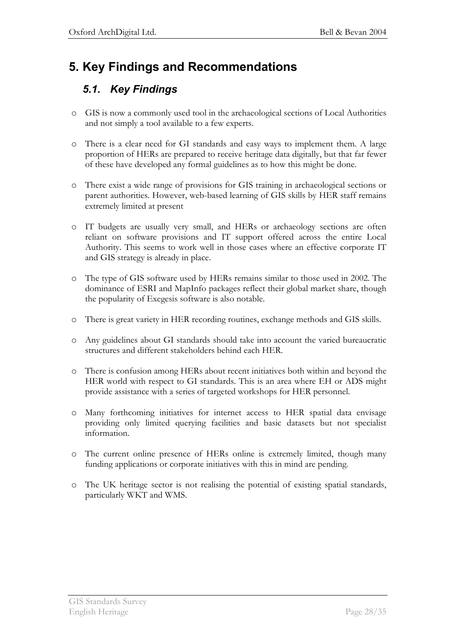# **5. Key Findings and Recommendations**

## *5.1. Key Findings*

- o GIS is now a commonly used tool in the archaeological sections of Local Authorities and not simply a tool available to a few experts.
- o There is a clear need for GI standards and easy ways to implement them. A large proportion of HERs are prepared to receive heritage data digitally, but that far fewer of these have developed any formal guidelines as to how this might be done.
- o There exist a wide range of provisions for GIS training in archaeological sections or parent authorities. However, web-based learning of GIS skills by HER staff remains extremely limited at present
- o IT budgets are usually very small, and HERs or archaeology sections are often reliant on software provisions and IT support offered across the entire Local Authority. This seems to work well in those cases where an effective corporate IT and GIS strategy is already in place.
- o The type of GIS software used by HERs remains similar to those used in 2002. The dominance of ESRI and MapInfo packages reflect their global market share, though the popularity of Exegesis software is also notable.
- o There is great variety in HER recording routines, exchange methods and GIS skills.
- o Any guidelines about GI standards should take into account the varied bureaucratic structures and different stakeholders behind each HER.
- o There is confusion among HERs about recent initiatives both within and beyond the HER world with respect to GI standards. This is an area where EH or ADS might provide assistance with a series of targeted workshops for HER personnel.
- o Many forthcoming initiatives for internet access to HER spatial data envisage providing only limited querying facilities and basic datasets but not specialist information.
- o The current online presence of HERs online is extremely limited, though many funding applications or corporate initiatives with this in mind are pending.
- o The UK heritage sector is not realising the potential of existing spatial standards, particularly WKT and WMS.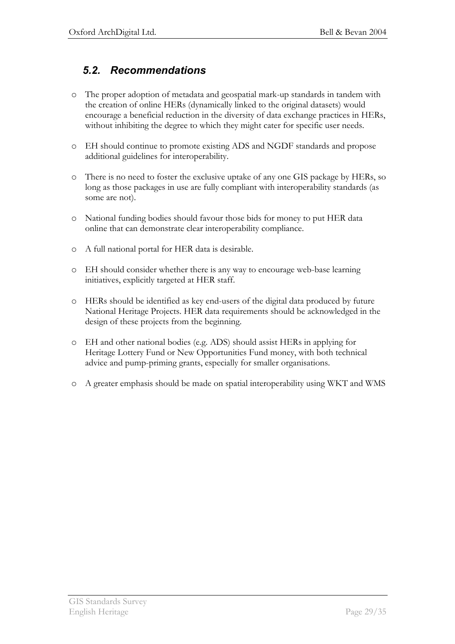### *5.2. Recommendations*

- o The proper adoption of metadata and geospatial mark-up standards in tandem with the creation of online HERs (dynamically linked to the original datasets) would encourage a beneficial reduction in the diversity of data exchange practices in HERs, without inhibiting the degree to which they might cater for specific user needs.
- o EH should continue to promote existing ADS and NGDF standards and propose additional guidelines for interoperability.
- o There is no need to foster the exclusive uptake of any one GIS package by HERs, so long as those packages in use are fully compliant with interoperability standards (as some are not).
- o National funding bodies should favour those bids for money to put HER data online that can demonstrate clear interoperability compliance.
- o A full national portal for HER data is desirable.
- o EH should consider whether there is any way to encourage web-base learning initiatives, explicitly targeted at HER staff.
- o HERs should be identified as key end-users of the digital data produced by future National Heritage Projects. HER data requirements should be acknowledged in the design of these projects from the beginning.
- o EH and other national bodies (e.g. ADS) should assist HERs in applying for Heritage Lottery Fund or New Opportunities Fund money, with both technical advice and pump-priming grants, especially for smaller organisations.
- o A greater emphasis should be made on spatial interoperability using WKT and WMS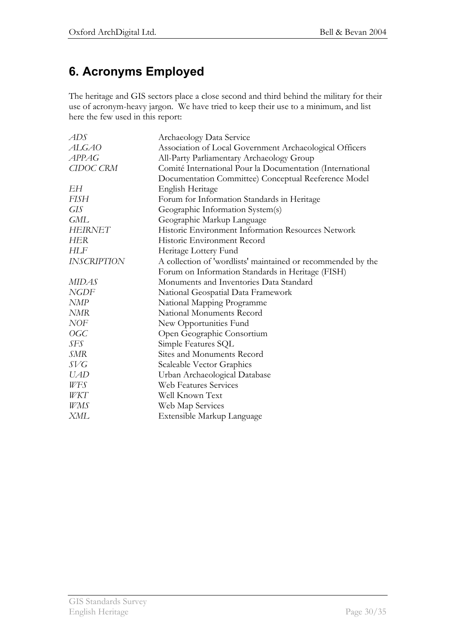# **6. Acronyms Employed**

The heritage and GIS sectors place a close second and third behind the military for their use of acronym-heavy jargon. We have tried to keep their use to a minimum, and list here the few used in this report:

| ADS                | Archaeology Data Service                                     |
|--------------------|--------------------------------------------------------------|
| ALGA0              | Association of Local Government Archaeological Officers      |
| <b>APPAG</b>       | All-Party Parliamentary Archaeology Group                    |
| CIDOC CRM          | Comité International Pour la Documentation (International    |
|                    | Documentation Committee) Conceptual Reeference Model         |
| EН                 | English Heritage                                             |
| <b>FISH</b>        | Forum for Information Standards in Heritage                  |
| <b>GIS</b>         | Geographic Information System(s)                             |
| <b>GML</b>         | Geographic Markup Language                                   |
| <b>HEIRNET</b>     | Historic Environment Information Resources Network           |
| HER                | Historic Environment Record                                  |
| <b>HLF</b>         | Heritage Lottery Fund                                        |
| <b>INSCRIPTION</b> | A collection of 'wordlists' maintained or recommended by the |
|                    | Forum on Information Standards in Heritage (FISH)            |
| <b>MIDAS</b>       | Monuments and Inventories Data Standard                      |
| <b>NGDF</b>        | National Geospatial Data Framework                           |
| <b>NMP</b>         | National Mapping Programme                                   |
| <b>NMR</b>         | National Monuments Record                                    |
| <b>NOF</b>         | New Opportunities Fund                                       |
| OGC                | Open Geographic Consortium                                   |
| SFS                | Simple Features SQL                                          |
| SMR                | Sites and Monuments Record                                   |
| SVG                | Scaleable Vector Graphics                                    |
| <i>UAD</i>         | Urban Archaeological Database                                |
| WFS                | Web Features Services                                        |
| WKT                | Well Known Text                                              |
| WMS                | Web Map Services                                             |
| XML                | Extensible Markup Language                                   |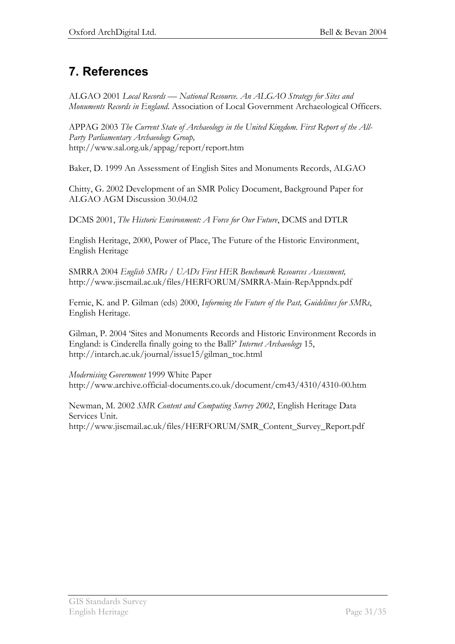# **7. References**

ALGAO 2001 *Local Records* — National Resource. An ALGAO Strategy for Sites and *Monuments Records in England*. Association of Local Government Archaeological Officers.

APPAG 2003 *The Current State of Archaeology in the United Kingdom. First Report of the All-Party Parliamentary Archaeology Group,* http://www.sal.org.uk/appag/report/report.htm

Baker, D. 1999 An Assessment of English Sites and Monuments Records, ALGAO

Chitty, G. 2002 Development of an SMR Policy Document, Background Paper for ALGAO AGM Discussion 30.04.02

DCMS 2001, *The Historic Environment: A Force for Our Future*, DCMS and DTLR

English Heritage, 2000, Power of Place, The Future of the Historic Environment, English Heritage

SMRRA 2004 *English SMRs / UADs First HER Benchmark Resources Assessment,* http://www.jiscmail.ac.uk/files/HERFORUM/SMRRA-Main-RepAppndx.pdf

Fernie, K. and P. Gilman (eds) 2000, *Informing the Future of the Past, Guidelines for SMRs*, English Heritage.

Gilman, P. 2004 'Sites and Monuments Records and Historic Environment Records in England: is Cinderella finally going to the Ball?' *Internet Archaeology* 15, http://intarch.ac.uk/journal/issue15/gilman\_toc.html

*Modernising Government* 1999 White Paper http://www.archive.official-documents.co.uk/document/cm43/4310/4310-00.htm

Newman, M. 2002 *SMR Content and Computing Survey 2002*, English Heritage Data Services Unit. http://www.jiscmail.ac.uk/files/HERFORUM/SMR\_Content\_Survey\_Report.pdf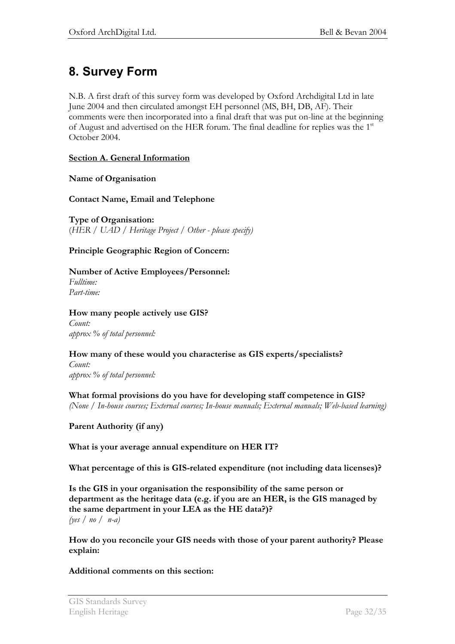# **8. Survey Form**

N.B. A first draft of this survey form was developed by Oxford Archdigital Ltd in late June 2004 and then circulated amongst EH personnel (MS, BH, DB, AF). Their comments were then incorporated into a final draft that was put on-line at the beginning of August and advertised on the HER forum. The final deadline for replies was the 1<sup>st</sup> October 2004.

### **Section A. General Information**

#### **Name of Organisation**

### **Contact Name, Email and Telephone**

**Type of Organisation:**  (*HER / UAD / Heritage Project / Other - please specify)* 

### **Principle Geographic Region of Concern:**

### **Number of Active Employees/Personnel:**

*Fulltime: Part-time:* 

#### **How many people actively use GIS?**

*Count: approx % of total personnel:* 

#### **How many of these would you characterise as GIS experts/specialists?**

*Count: approx % of total personnel:* 

**What formal provisions do you have for developing staff competence in GIS?**  *(None / In-house courses; External courses; In-house manuals; External manuals; Web-based learning)* 

**Parent Authority (if any)** 

#### **What is your average annual expenditure on HER IT?**

**What percentage of this is GIS-related expenditure (not including data licenses)?** 

**Is the GIS in your organisation the responsibility of the same person or department as the heritage data (e.g. if you are an HER, is the GIS managed by the same department in your LEA as the HE data?)?**  *(yes / no / n-a)*

**How do you reconcile your GIS needs with those of your parent authority? Please explain:** 

#### **Additional comments on this section:**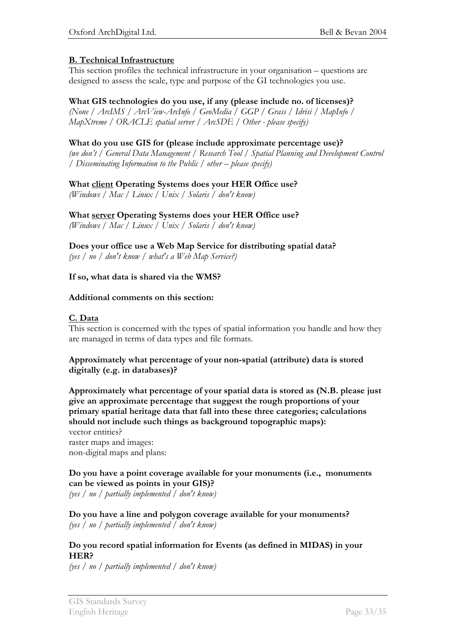### **B. Technical Infrastructure**

This section profiles the technical infrastructure in your organisation  $-$  questions are designed to assess the scale, type and purpose of the GI technologies you use.

**What GIS technologies do you use, if any (please include no. of licenses)?** 

*(None / ArcIMS / ArcView-ArcInfo / GeoMedia / GGP / Grass / Idrisi / MapInfo / MapXtreme / ORACLE spatial server / ArcSDE / Other - please specify)* 

### **What do you use GIS for (please include approximate percentage use)?**

*(we don't / General Data Management / Research Tool / Spatial Planning and Development Control / Disseminating Information to the Public / other – please specify)* 

### **What client Operating Systems does your HER Office use?**

*(Windows / Mac / Linux / Unix / Solaris / don't know)* 

### **What server Operating Systems does your HER Office use?**

*(Windows / Mac / Linux / Unix / Solaris / don't know)* 

**Does your office use a Web Map Service for distributing spatial data?**  *(yes / no / don't know / what's a Web Map Service?)* 

### **If so, what data is shared via the WMS?**

#### **Additional comments on this section:**

### **C. Data**

This section is concerned with the types of spatial information you handle and how they are managed in terms of data types and file formats.

#### **Approximately what percentage of your non-spatial (attribute) data is stored digitally (e.g. in databases)?**

**Approximately what percentage of your spatial data is stored as (N.B. please just give an approximate percentage that suggest the rough proportions of your primary spatial heritage data that fall into these three categories; calculations should not include such things as background topographic maps):**  vector entities? raster maps and images: non-digital maps and plans:

#### **Do you have a point coverage available for your monuments (i.e., monuments can be viewed as points in your GIS)?**

*(yes / no / partially implemented / don't know)* 

**Do you have a line and polygon coverage available for your monuments?**  *(yes / no / partially implemented / don't know)* 

#### **Do you record spatial information for Events (as defined in MIDAS) in your HER?**

*(yes / no / partially implemented / don't know)*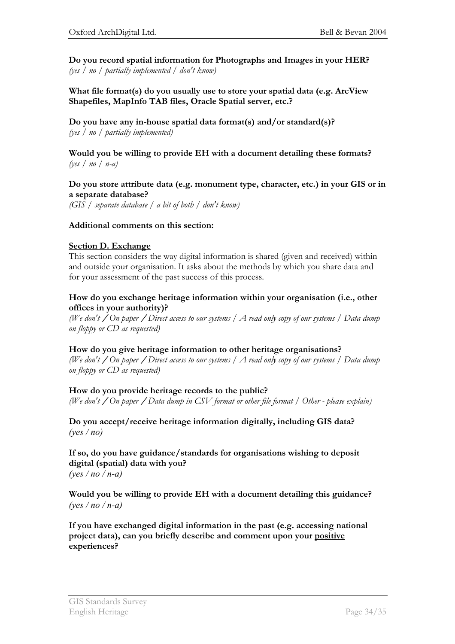**Do you record spatial information for Photographs and Images in your HER?**  *(yes / no / partially implemented / don't know)* 

**What file format(s) do you usually use to store your spatial data (e.g. ArcView Shapefiles, MapInfo TAB files, Oracle Spatial server, etc.?**

**Do you have any in-house spatial data format(s) and/or standard(s)?**  *(yes / no / partially implemented)* 

#### **Would you be willing to provide EH with a document detailing these formats?**  *(yes / no / n-a)*

#### **Do you store attribute data (e.g. monument type, character, etc.) in your GIS or in a separate database?**

*(GIS / separate database / a bit of both / don't know)* 

#### **Additional comments on this section:**

#### **Section D. Exchange**

This section considers the way digital information is shared (given and received) within and outside your organisation. It asks about the methods by which you share data and for your assessment of the past success of this process.

#### **How do you exchange heritage information within your organisation (i.e., other offices in your authority)?**

*(We don't* **/** *On paper* **/** *Direct access to our systems / A read only copy of our systems / Data dump on floppy or CD as requested)*

#### **How do you give heritage information to other heritage organisations?**

*(We don't* **/** *On paper* **/** *Direct access to our systems / A read only copy of our systems / Data dump on floppy or CD as requested)*

#### **How do you provide heritage records to the public?**

*(We don't* **/** *On paper* **/** *Data dump in CSV format or other file format / Other - please explain)*

**Do you accept/receive heritage information digitally, including GIS data?** *(yes / no)*

**If so, do you have guidance/standards for organisations wishing to deposit digital (spatial) data with you?** *(yes / no / n-a)*

**Would you be willing to provide EH with a document detailing this guidance?**  *(yes / no / n-a)*

**If you have exchanged digital information in the past (e.g. accessing national project data), can you briefly describe and comment upon your positive experiences?**